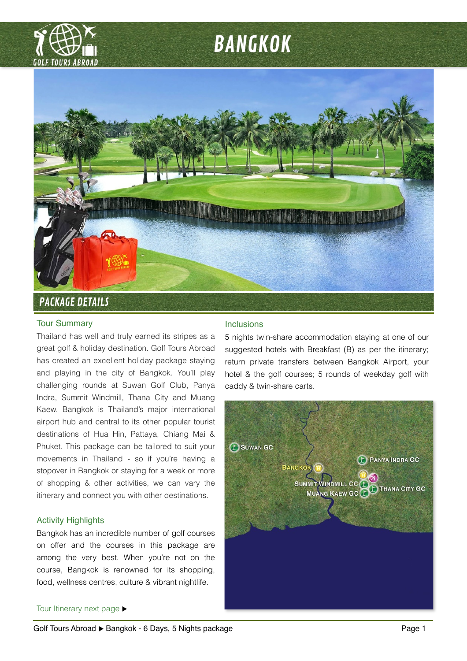

# BANGKOK



# Tour Summary

Thailand has well and truly earned its stripes as a great golf & holiday destination. Golf Tours Abroad has created an excellent holiday package staying and playing in the city of Bangkok. You'll play challenging rounds at Suwan Golf Club, Panya Indra, Summit Windmill, Thana City and Muang Kaew. Bangkok is Thailand's major international airport hub and central to its other popular tourist destinations of Hua Hin, Pattaya, Chiang Mai & Phuket. This package can be tailored to suit your movements in Thailand - so if you're having a stopover in Bangkok or staying for a week or more of shopping & other activities, we can vary the itinerary and connect you with other destinations.

# Activity Highlights

Bangkok has an incredible number of golf courses on offer and the courses in this package are among the very best. When you're not on the course, Bangkok is renowned for its shopping, food, wellness centres, culture & vibrant nightlife.

# Inclusions

5 nights twin-share accommodation staying at one of our suggested hotels with Breakfast (B) as per the itinerary; return private transfers between Bangkok Airport, your hotel & the golf courses; 5 rounds of weekday golf with caddy & twin-share carts.



# Tour Itinerary next page  $\blacktriangleright$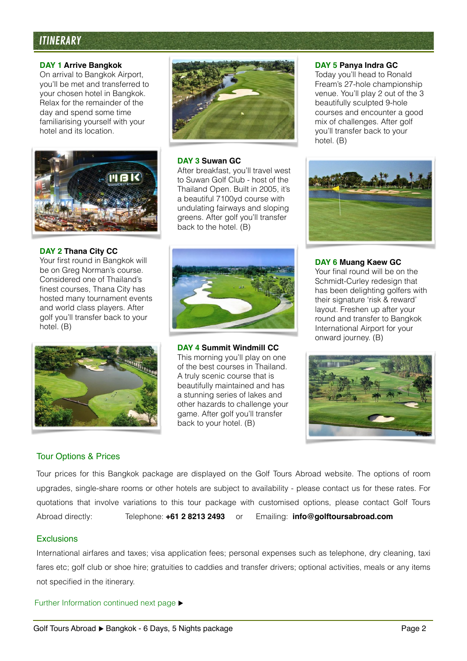# ITINERARY

## **DAY 1 Arrive Bangkok**

On arrival to Bangkok Airport, you'll be met and transferred to your chosen hotel in Bangkok. Relax for the remainder of the day and spend some time familiarising yourself with your hotel and its location.



# **DAY 2 Thana City CC**

Your first round in Bangkok will be on Greg Norman's course. Considered one of Thailand's finest courses, Thana City has hosted many tournament events and world class players. After golf you'll transfer back to your hotel. (B)





# **DAY 3 Suwan GC**

After breakfast, you'll travel west to Suwan Golf Club - host of the Thailand Open. Built in 2005, it's a beautiful 7100yd course with undulating fairways and sloping greens. After golf you'll transfer back to the hotel. (B)

# **DAY 4 Summit Windmill CC**

This morning you'll play on one of the best courses in Thailand. A truly scenic course that is beautifully maintained and has a stunning series of lakes and other hazards to challenge your game. After golf you'll transfer back to your hotel. (B)

### **DAY 5 Panya Indra GC**

Today you'll head to Ronald Fream's 27-hole championship venue. You'll play 2 out of the 3 beautifully sculpted 9-hole courses and encounter a good mix of challenges. After golf you'll transfer back to your hotel. (B)



# **DAY 6 Muang Kaew GC**

Your final round will be on the Schmidt-Curley redesign that has been delighting golfers with their signature 'risk & reward' layout. Freshen up after your round and transfer to Bangkok International Airport for your onward journey. (B)



# Tour Options & Prices

Tour prices for this Bangkok package are displayed on the Golf Tours Abroad website. The options of room upgrades, single-share rooms or other hotels are subject to availability - please contact us for these rates. For quotations that involve variations to this tour package with customised options, please contact Golf Tours Abroad directly: Telephone: **+61 2 8213 2493** or Emailing: **info@golftoursabroad.com**

# Exclusions

International airfares and taxes; visa application fees; personal expenses such as telephone, dry cleaning, taxi fares etc; golf club or shoe hire; gratuities to caddies and transfer drivers; optional activities, meals or any items not specified in the itinerary.

Further Information continued next page  $\blacktriangleright$